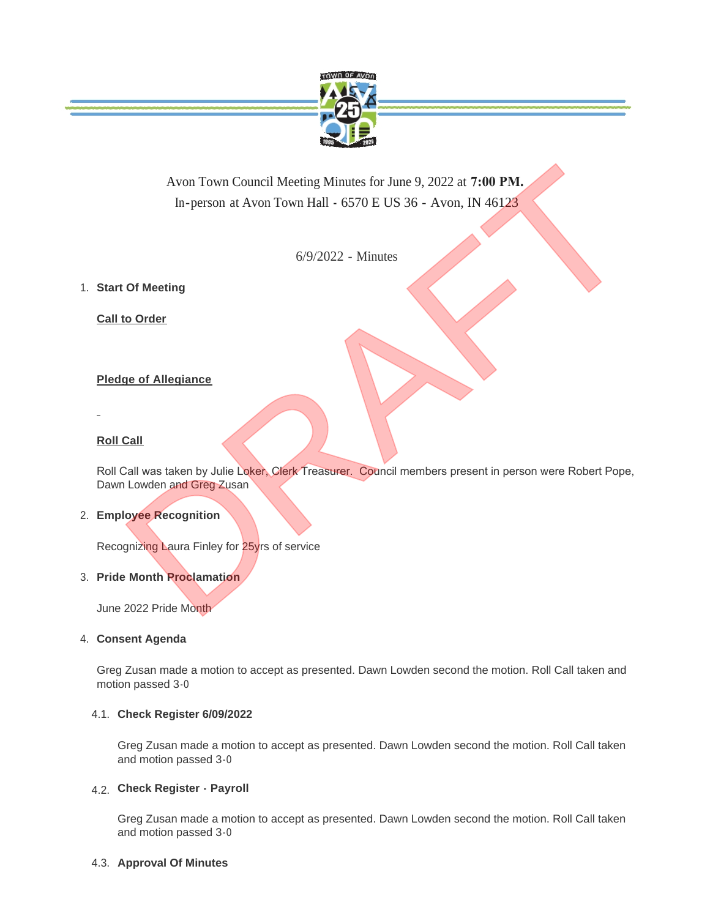

Avon Town Council Meeting Minutes for June 9, 2022 at **7:00 PM.**  In-person at Avon Town Hall **-** 6570 E US 36 - Avon, IN 46123

6/9/2022 - Minutes

**Start Of Meeting** 1.

**Call to Order**

# **Pledge of Allegiance**

# **Roll Call**

Roll Call was taken by Julie Loker, Clerk Treasurer. Council members present in person were Robert Pope, Dawn Lowden and Greg Zusan Avon Town Council Meeting Minutes for June 9, 2022 at 7:00 PM.<br>
In-person at Avon Town Hall - 6570 E US 36 - Avon, IN 46123<br>
6/9/2022 - Minutes<br>
Of Meeting<br>
10 Order<br>
10 Order<br>
10 Order<br>
10 Order<br>
10 Order<br>
10 Order<br>
10 Or

# **Employee Recognition** 2.

Recognizing Laura Finley for 25yrs of service

# **Pride Month Proclamation** 3.

June 2022 Pride Month

### **Consent Agenda** 4.

Greg Zusan made a motion to accept as presented. Dawn Lowden second the motion. Roll Call taken and motion passed 3-0

### **Check Register 6/09/2022** 4.1.

Greg Zusan made a motion to accept as presented. Dawn Lowden second the motion. Roll Call taken and motion passed 3-0

# **Check Register - Payroll**  4.2.

Greg Zusan made a motion to accept as presented. Dawn Lowden second the motion. Roll Call taken and motion passed 3-0

### 4.3. Approval Of Minutes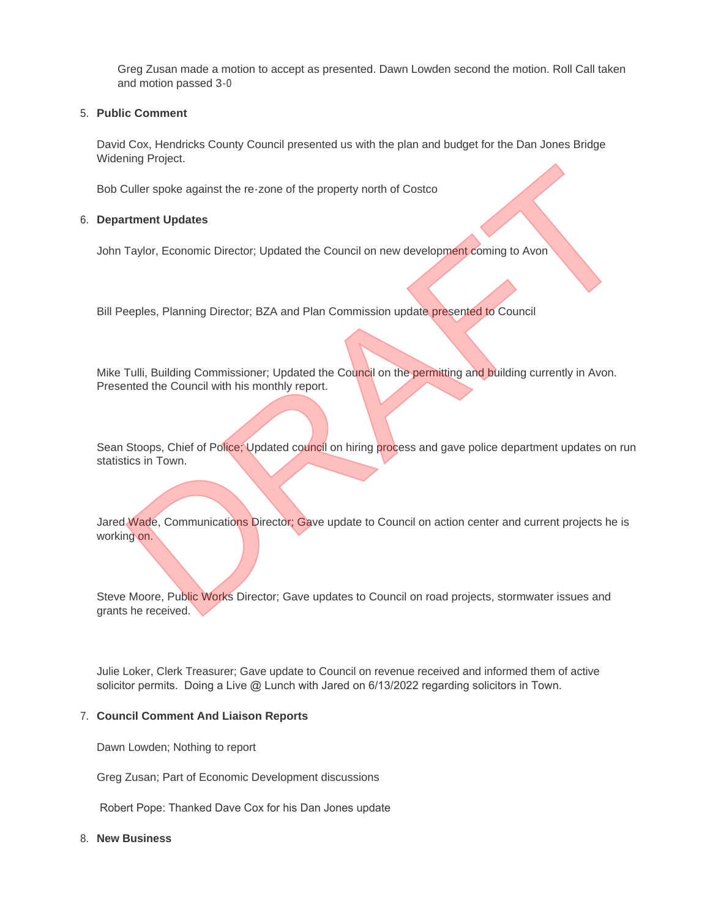Greg Zusan made a motion to accept as presented. Dawn Lowden second the motion. Roll Call taken and motion passed 3-0

### **Public Comment** 5.

David Cox, Hendricks County Council presented us with the plan and budget for the Dan Jones Bridge Widening Project.

Bob Culler spoke against the re-zone of the property north of Costco

### **Department Updates** 6.

John Taylor, Economic Director; Updated the Council on new development coming to Avon

Bill Peeples, Planning Director; BZA and Plan Commission update presented to Council

Mike Tulli, Building Commissioner; Updated the Council on the permitting and building currently in Avon. Presented the Council with his monthly report.

Sean Stoops, Chief of Police; Updated council on hiring process and gave police department updates on run statistics in Town.

Jared Wade, Communications Director; Gave update to Council on action center and current projects he is working on. Turity Frigieux.<br>Taylor, Economic Director; Updated the Council on new development coming to Avon<br>Taylor, Economic Director; Updated the Council on new development coming to Avon<br>Tulli, Building Commissioner; Updated the C

Steve Moore, Public Works Director; Gave updates to Council on road projects, stormwater issues and grants he received.

Julie Loker, Clerk Treasurer; Gave update to Council on revenue received and informed them of active solicitor permits. Doing a Live  $@$  Lunch with Jared on  $6/13/2022$  regarding solicitors in Town.

### **Council Comment And Liaison Reports** 7.

Dawn Lowden; Nothing to report

Greg Zusan; Part of Economic Development discussions

Robert Pope: Thanked Dave Cox for his Dan Jones update

### **New Business** 8.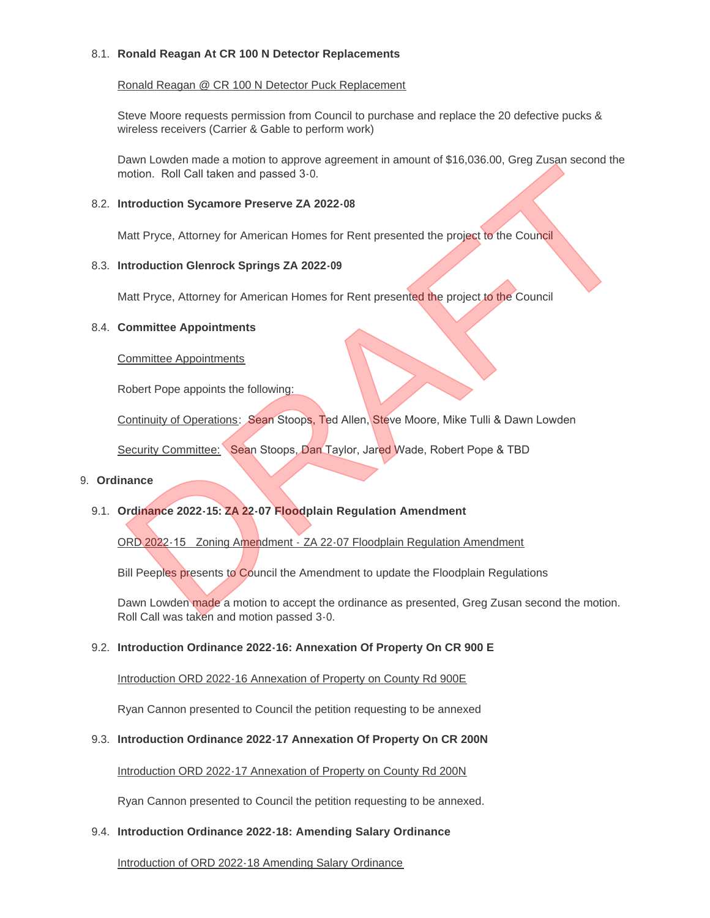### **Ronald Reagan At CR 100 N Detector Replacements** 8.1.

### Ronald Reagan @ CR 100 N Detector Puck Replacement

Steve Moore requests permission from Council to purchase and replace the 20 defective pucks & wireless receivers (Carrier & Gable to perform work)

Dawn Lowden made a motion to approve agreement in amount of \$16,036.00, Greg Zusan second the motion. Roll Call taken and passed 3-0. Nam Lowden made a motion to approve agreement in amount of \$16,056.00, creg Zusan second the<br>Droition. Roll Call taken and passed 3-0.<br>Introduction Sycamore Preserve ZA 2022-08<br>Introduction Glenrock Springs ZA 2022-09<br>Matt

### **Introduction Sycamore Preserve ZA 2022-08** 8.2.

Matt Pryce, Attorney for American Homes for Rent presented the project to the Council

### **Introduction Glenrock Springs ZA 2022-09** 8.3.

Matt Pryce, Attorney for American Homes for Rent presented the project to the Council

### **Committee Appointments** 8.4.

#### Committee Appointments

Robert Pope appoints the following:

Continuity of Operations: Sean Stoops, Ted Allen, Steve Moore, Mike Tulli & Dawn Lowden

Security Committee: Sean Stoops, Dan Taylor, Jared Wade, Robert Pope & TBD

#### **Ordinance** 9.

## **Ordinance 2022-15: ZA 22-07 Floodplain Regulation Amendment** 9.1.

ORD 2022-15 Zoning Amendment - ZA 22-07 Floodplain Regulation Amendment

Bill Peeples presents to Council the Amendment to update the Floodplain Regulations

Dawn Lowden made a motion to accept the ordinance as presented, Greg Zusan second the motion. Roll Call was taken and motion passed 3-0.

### **Introduction Ordinance 2022-16: Annexation Of Property On CR 900 E** 9.2.

Introduction ORD 2022-16 Annexation of Property on County Rd 900E

Ryan Cannon presented to Council the petition requesting to be annexed

### **Introduction Ordinance 2022-17 Annexation Of Property On CR 200N** 9.3.

### Introduction ORD 2022-17 Annexation of Property on County Rd 200N

Ryan Cannon presented to Council the petition requesting to be annexed.

### **Introduction Ordinance 2022-18: Amending Salary Ordinance** 9.4.

Introduction of ORD 2022-18 Amending Salary Ordinance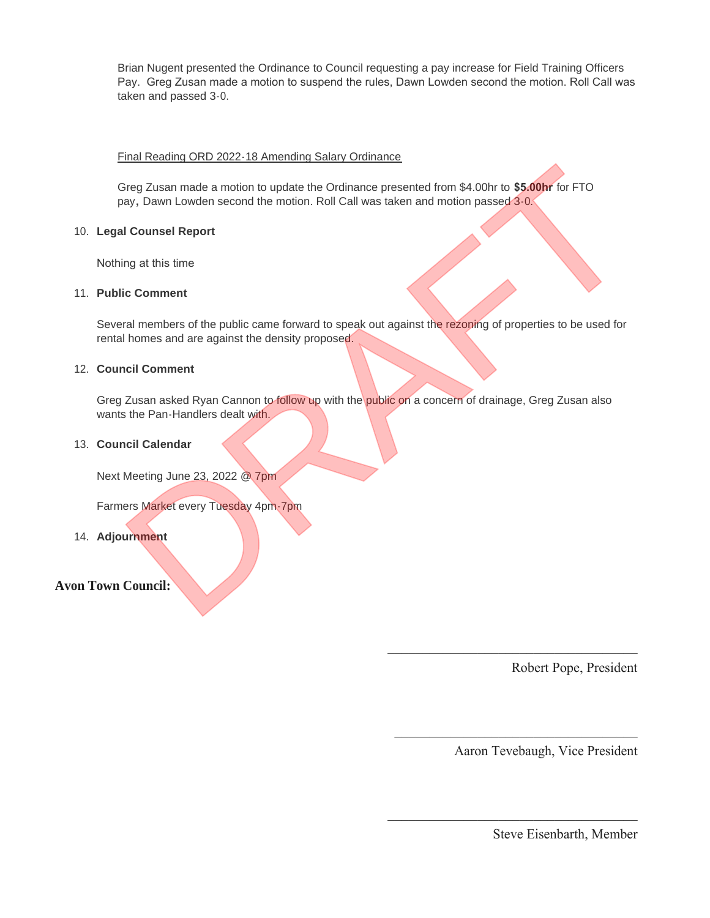Brian Nugent presented the Ordinance to Council requesting a pay increase for Field Training Officers Pay. Greg Zusan made a motion to suspend the rules, Dawn Lowden second the motion. Roll Call was taken and passed 3-0.

### Final Reading ORD 2022-18 Amending Salary Ordinance

Greg Zusan made a motion to update the Ordinance presented from \$4.00hr to **\$5.00hr** for FTO pay**,** Dawn Lowden second the motion. Roll Call was taken and motion passed 3-0.

### **Legal Counsel Report** 10.

Nothing at this time

#### **Public Comment** 11.

Several members of the public came forward to speak out against the rezoning of properties to be used for rental homes and are against the density proposed. Bireg Zusan made a motion to update the Ordinance presented from \$4.00hr to \$5.00hr for FTO<br>ay, Dawn Lowden second the motion. Roll Call was taken and motion passed 3-0.<br>Il Counsel Report<br>ing at this time<br>to comment<br>rata m

#### **Council Comment** 12.

Greg Zusan asked Ryan Cannon to follow up with the public on a concern of drainage, Greg Zusan also wants the Pan-Handlers dealt with.

 $\mathcal{L}_\mathcal{L}$  , which is a set of the set of the set of the set of the set of the set of the set of the set of the set of the set of the set of the set of the set of the set of the set of the set of the set of the set of

 $\mathcal{L}_\text{max}$  , which is a set of the set of the set of the set of the set of the set of the set of the set of the set of the set of the set of the set of the set of the set of the set of the set of the set of the set of

 $\mathcal{L}_\mathcal{L}$  , which is a set of the set of the set of the set of the set of the set of the set of the set of the set of the set of the set of the set of the set of the set of the set of the set of the set of the set of

#### **Council Calendar** 13.

Next Meeting June 23, 2022 @ 7pm

Farmers Market every Tuesday 4pm-7pm

**Adjournment** 14.

# **Avon Town Council:**

Robert Pope, President

Aaron Tevebaugh, Vice President